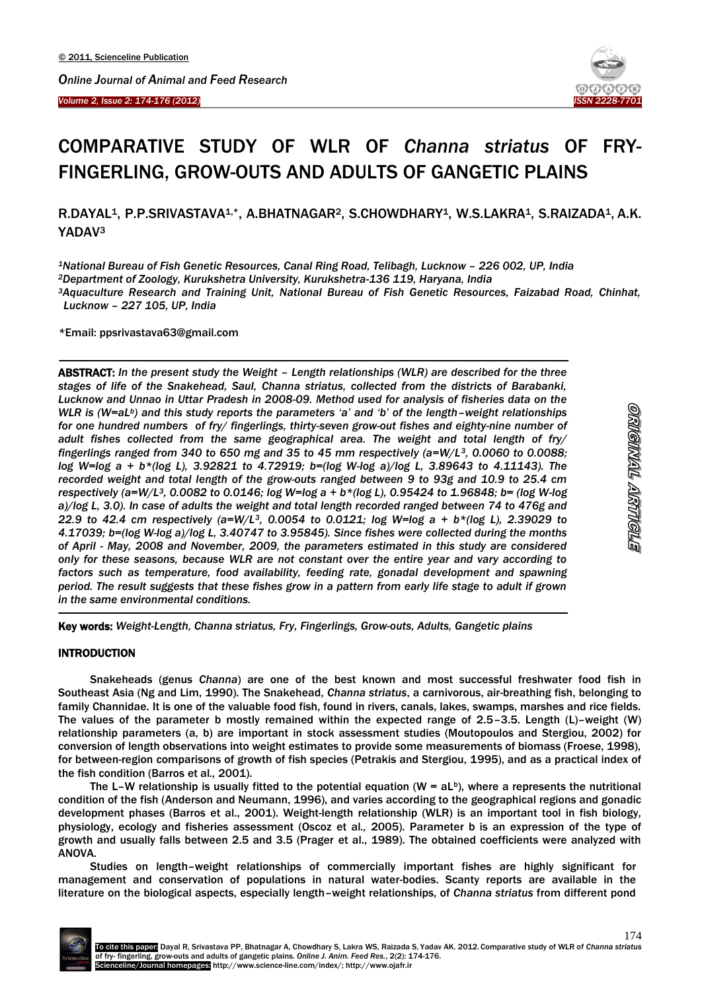*Volume 2, Issue 2: 174-176 (2012)*  Ī



# COMPARATIVE STUDY OF WLR OF *Channa striatus* OF FRY-FINGERLING, GROW-OUTS AND ADULTS OF GANGETIC PLAINS

R.DAYAL1, P.P.SRIVASTAVA1,\*, A.BHATNAGAR2, S.CHOWDHARY1, W.S.LAKRA1, S.RAIZADA1, A.K. YADAV<sup>3</sup>

*<sup>1</sup>National Bureau of Fish Genetic Resources, Canal Ring Road, Telibagh, Lucknow – 226 002, UP, India*

*<sup>2</sup>Department of Zoology, Kurukshetra University, Kurukshetra-136 119, Haryana, India*

*<sup>3</sup>Aquaculture Research and Training Unit, National Bureau of Fish Genetic Resources, Faizabad Road, Chinhat, Lucknow – 227 105, UP, India*

*\**Email: ppsrivastava63@gmail.com

 $\overline{\phantom{a}}$ 

ABSTRACT: *In the present study the Weight – Length relationships (WLR) are described for the three stages of life of the Snakehead, Saul, Channa striatus, collected from the districts of Barabanki, Lucknow and Unnao in Uttar Pradesh in 2008-09. Method used for analysis of fisheries data on the WLR is (W=aLb) and this study reports the parameters 'a' and 'b' of the length–weight relationships for one hundred numbers of fry/ fingerlings, thirty-seven grow-out fishes and eighty-nine number of adult fishes collected from the same geographical area. The weight and total length of fry/ fingerlings ranged from 340 to 650 mg and 35 to 45 mm respectively (a=W/L3, 0.0060 to 0.0088; log W=log a + b\*(log L), 3.92821 to 4.72919; b=(log W-log a)/log L, 3.89643 to 4.11143). The recorded weight and total length of the grow-outs ranged between 9 to 93g and 10.9 to 25.4 cm respectively (a=W/L3, 0.0082 to 0.0146; log W=log a + b\*(log L), 0.95424 to 1.96848; b= (log W-log a)/log L, 3.0). In case of adults the weight and total length recorded ranged between 74 to 476g and 22.9 to 42.4 cm respectively (a=W/L3, 0.0054 to 0.0121; log W=log a + b\*(log L), 2.39029 to 4.17039; b=(log W-log a)/log L, 3.40747 to 3.95845). Since fishes were collected during the months of April - May, 2008 and November, 2009, the parameters estimated in this study are considered only for these seasons, because WLR are not constant over the entire year and vary according to factors such as temperature, food availability, feeding rate, gonadal development and spawning period. The result suggests that these fishes grow in a pattern from early life stage to adult if grown in the same environmental conditions.*

Key words: *Weight-Length, Channa striatus, Fry, Fingerlings, Grow-outs, Adults, Gangetic plains*

### INTRODUCTION

-

Snakeheads (genus *Channa*) are one of the best known and most successful freshwater food fish in Southeast Asia (Ng and Lim, 1990). The Snakehead, *Channa striatus*, a carnivorous, air-breathing fish, belonging to family Channidae. It is one of the valuable food fish, found in rivers, canals, lakes, swamps, marshes and rice fields. The values of the parameter b mostly remained within the expected range of 2.5–3.5. Length (L)–weight (W) relationship parameters (a, b) are important in stock assessment studies (Moutopoulos and Stergiou, 2002) for conversion of length observations into weight estimates to provide some measurements of biomass (Froese, 1998), for between-region comparisons of growth of fish species (Petrakis and Stergiou, 1995), and as a practical index of the fish condition (Barros et al*.,* 2001).

The L–W relationship is usually fitted to the potential equation ( $W = aL<sup>b</sup>$ ), where a represents the nutritional condition of the fish (Anderson and Neumann, 1996), and varies according to the geographical regions and gonadic development phases (Barros et al., 2001). Weight-length relationship (WLR) is an important tool in fish biology, physiology, ecology and fisheries assessment (Oscoz et al*.,* 2005). Parameter b is an expression of the type of growth and usually falls between 2.5 and 3.5 (Prager et al., 1989). The obtained coefficients were analyzed with ANOVA.

Studies on length–weight relationships of commercially important fishes are highly significant for management and conservation of populations in natural water-bodies. Scanty reports are available in the literature on the biological aspects, especially length–weight relationships, of *Channa striatus* from different pond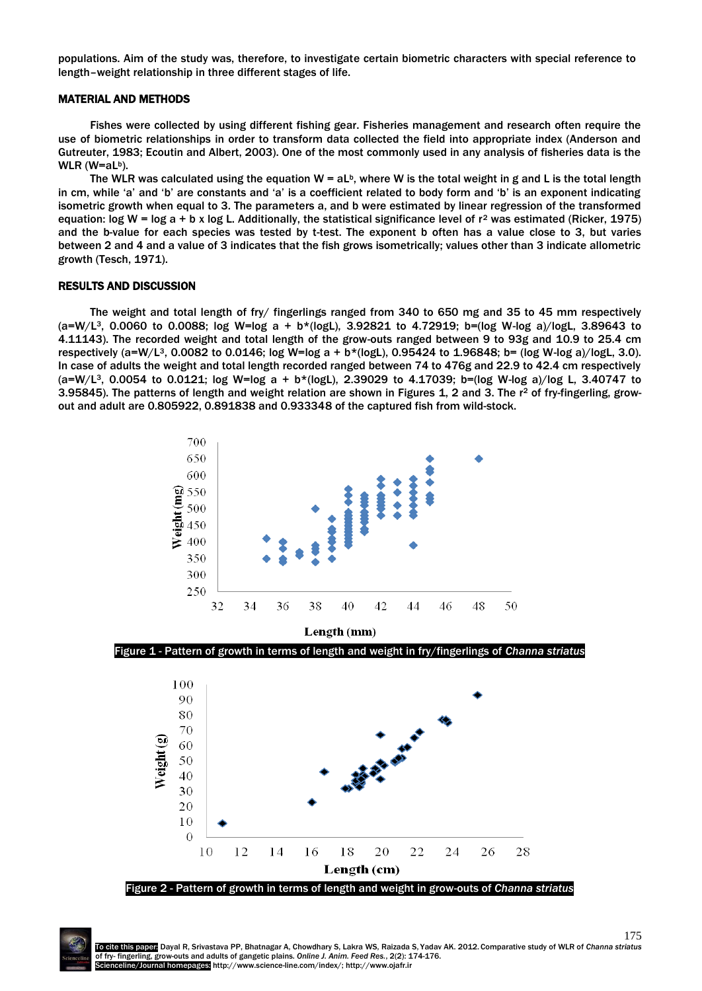populations. Aim of the study was, therefore, to investigate certain biometric characters with special reference to length–weight relationship in three different stages of life.

#### MATERIAL AND METHODS

Fishes were collected by using different fishing gear. Fisheries management and research often require the use of biometric relationships in order to transform data collected the field into appropriate index (Anderson and Gutreuter, 1983; Ecoutin and Albert, 2003). One of the most commonly used in any analysis of fisheries data is the WLR ( $W=AL^b$ ).

The WLR was calculated using the equation  $W = aL^b$ , where W is the total weight in g and L is the total length in cm, while 'a' and 'b' are constants and 'a' is a coefficient related to body form and 'b' is an exponent indicating isometric growth when equal to 3. The parameters a, and b were estimated by linear regression of the transformed equation: log W = log a + b x log L. Additionally, the statistical significance level of  $r^2$  was estimated (Ricker, 1975) and the b-value for each species was tested by t-test. The exponent b often has a value close to 3, but varies between 2 and 4 and a value of 3 indicates that the fish grows isometrically; values other than 3 indicate allometric growth (Tesch, 1971).

#### RESULTS AND DISCUSSION

The weight and total length of fry/ fingerlings ranged from 340 to 650 mg and 35 to 45 mm respectively (a=W/L3, 0.0060 to 0.0088; log W=log a + b\*(logL), 3.92821 to 4.72919; b=(log W-log a)/logL, 3.89643 to 4.11143). The recorded weight and total length of the grow-outs ranged between 9 to 93g and 10.9 to 25.4 cm respectively (a=W/L<sup>3</sup>, 0.0082 to 0.0146; log W=log a + b\*(logL), 0.95424 to 1.96848; b= (log W-log a)/logL, 3.0). In case of adults the weight and total length recorded ranged between 74 to 476g and 22.9 to 42.4 cm respectively  $(a=W/L<sup>3</sup>, 0.0054$  to 0.0121; log W=log a + b\*(logL), 2.39029 to 4.17039; b=(log W-log a)/log L, 3.40747 to 3.95845). The patterns of length and weight relation are shown in Figures 1, 2 and 3. The r<sup>2</sup> of fry-fingerling, growout and adult are 0.805922, 0.891838 and 0.933348 of the captured fish from wild-stock.



Length (mm)

Figure 1 - Pattern of growth in terms of length and weight in fry/fingerlings of *Channa striatus*